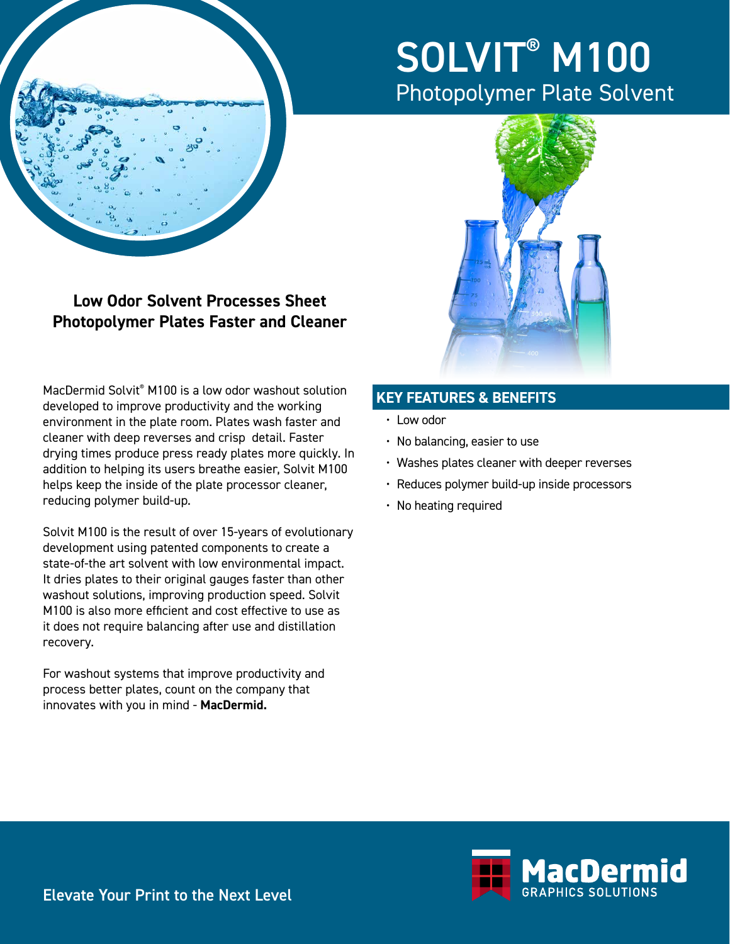

# SOLVIT<sup>®</sup> M100 Photopolymer Plate Solvent



**Photopolymer Plates Faster and Cleaner**

**Low Odor Solvent Processes Sheet** 

MacDermid Solvit® M100 is a low odor washout solution developed to improve productivity and the working environment in the plate room. Plates wash faster and cleaner with deep reverses and crisp detail. Faster drying times produce press ready plates more quickly. In addition to helping its users breathe easier, Solvit M100 helps keep the inside of the plate processor cleaner, reducing polymer build-up.

Solvit M100 is the result of over 15-years of evolutionary development using patented components to create a state-of-the art solvent with low environmental impact. It dries plates to their original gauges faster than other washout solutions, improving production speed. Solvit M100 is also more efficient and cost effective to use as it does not require balancing after use and distillation recovery.

For washout systems that improve productivity and process better plates, count on the company that innovates with you in mind - **MacDermid.**

### **KEY FEATURES & BENEFITS**

- Low odor
- No balancing, easier to use
- Washes plates cleaner with deeper reverses
- Reduces polymer build-up inside processors
- No heating required